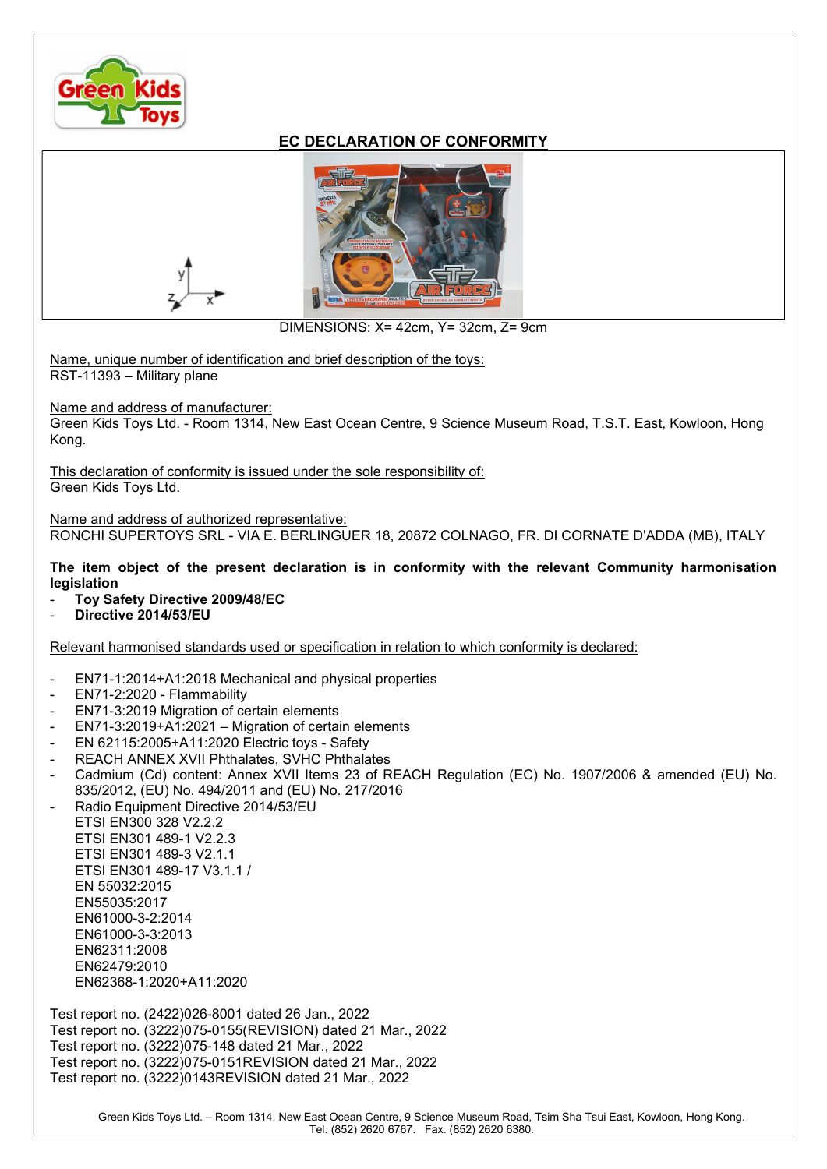

## EC DECLARATION OF CONFORMITY



DIMENSIONS: X= 42cm, Y= 32cm, Z= 9cm

Name, unique number of identification and brief description of the toys: RST-11393 – Military plane

Name and address of manufacturer:

Green Kids Toys Ltd. - Room 1314, New East Ocean Centre, 9 Science Museum Road, T.S.T. East, Kowloon, Hong Kong.

This declaration of conformity is issued under the sole responsibility of: Green Kids Toys Ltd.

Name and address of authorized representative: RONCHI SUPERTOYS SRL - VIA E. BERLINGUER 18, 20872 COLNAGO, FR. DI CORNATE D'ADDA (MB), ITALY

The item object of the present declaration is in conformity with the relevant Community harmonisation legislation

- Toy Safety Directive 2009/48/EC
- Directive 2014/53/EU

Relevant harmonised standards used or specification in relation to which conformity is declared:

- EN71-1:2014+A1:2018 Mechanical and physical properties
- EN71-2:2020 Flammability
- EN71-3:2019 Migration of certain elements
- EN71-3:2019+A1:2021 Migration of certain elements
- EN 62115:2005+A11:2020 Electric toys Safety
- REACH ANNEX XVII Phthalates, SVHC Phthalates
- Cadmium (Cd) content: Annex XVII Items 23 of REACH Regulation (EC) No. 1907/2006 & amended (EU) No. 835/2012, (EU) No. 494/2011 and (EU) No. 217/2016
- Radio Equipment Directive 2014/53/EU ETSI EN300 328 V2.2.2 ETSI EN301 489-1 V2.2.3 ETSI EN301 489-3 V2.1.1 ETSI EN301 489-17 V3.1.1 / EN 55032:2015 EN55035:2017 EN61000-3-2:2014 EN61000-3-3:2013 EN62311:2008 EN62479:2010 EN62368-1:2020+A11:2020

Test report no. (2422)026-8001 dated 26 Jan., 2022 Test report no. (3222)075-0155(REVISION) dated 21 Mar., 2022 Test report no. (3222)075-148 dated 21 Mar., 2022 Test report no. (3222)075-0151REVISION dated 21 Mar., 2022 Test report no. (3222)0143REVISION dated 21 Mar., 2022